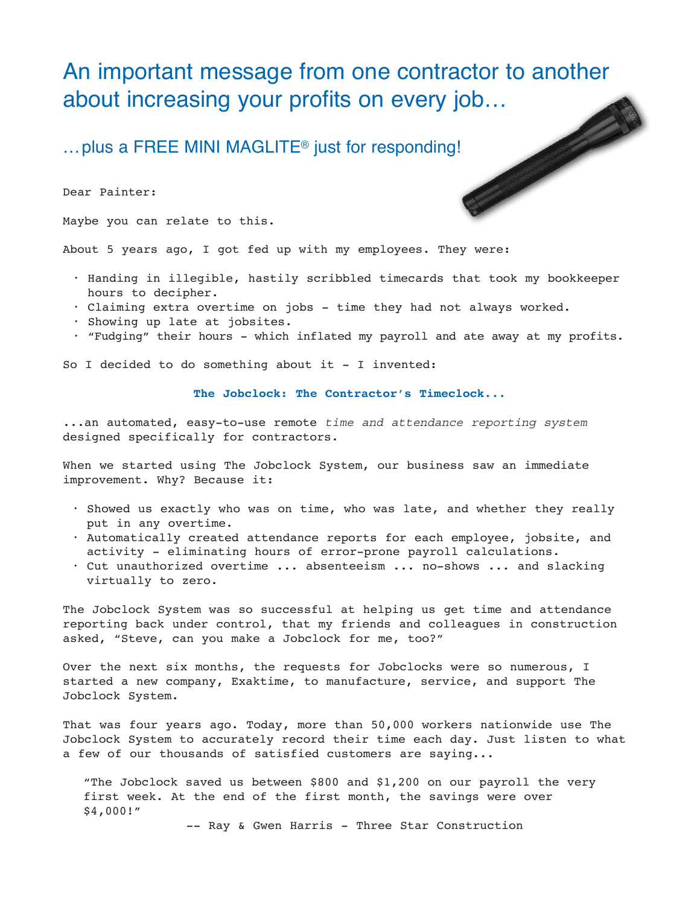## An important message from one contractor to another about increasing your profits on every job…<br>…plus a FREE MINI MAGLITE® just for responding!<br>Dear Painter:<br>Maybe you of

…plus a FREE MINI MAGLITE® just for responding!

Dear Painter:

Maybe you can relate to this.

About 5 years ago, I got fed up with my employees. They were:

- Handing in illegible, hastily scribbled timecards that took my bookkeeper hours to decipher.
- Claiming extra overtime on jobs time they had not always worked.
- Showing up late at jobsites.
- "Fudging" their hours which inflated my payroll and ate away at my profits.

So I decided to do something about it - I invented:

## **The Jobclock: The Contractor's Timeclock...**

...an automated, easy-to-use remote time and attendance reporting system designed specifically for contractors.

When we started using The Jobclock System, our business saw an immediate improvement. Why? Because it:

- Showed us exactly who was on time, who was late, and whether they really put in any overtime.
- Automatically created attendance reports for each employee, jobsite, and activity - eliminating hours of error-prone payroll calculations.
- Cut unauthorized overtime ... absenteeism ... no-shows ... and slacking virtually to zero.

The Jobclock System was so successful at helping us get time and attendance reporting back under control, that my friends and colleagues in construction asked, "Steve, can you make a Jobclock for me, too?"

Over the next six months, the requests for Jobclocks were so numerous, I started a new company, Exaktime, to manufacture, service, and support The Jobclock System.

That was four years ago. Today, more than 50,000 workers nationwide use The Jobclock System to accurately record their time each day. Just listen to what a few of our thousands of satisfied customers are saying...

"The Jobclock saved us between \$800 and \$1,200 on our payroll the very first week. At the end of the first month, the savings were over \$4,000!"

-- Ray & Gwen Harris - Three Star Construction